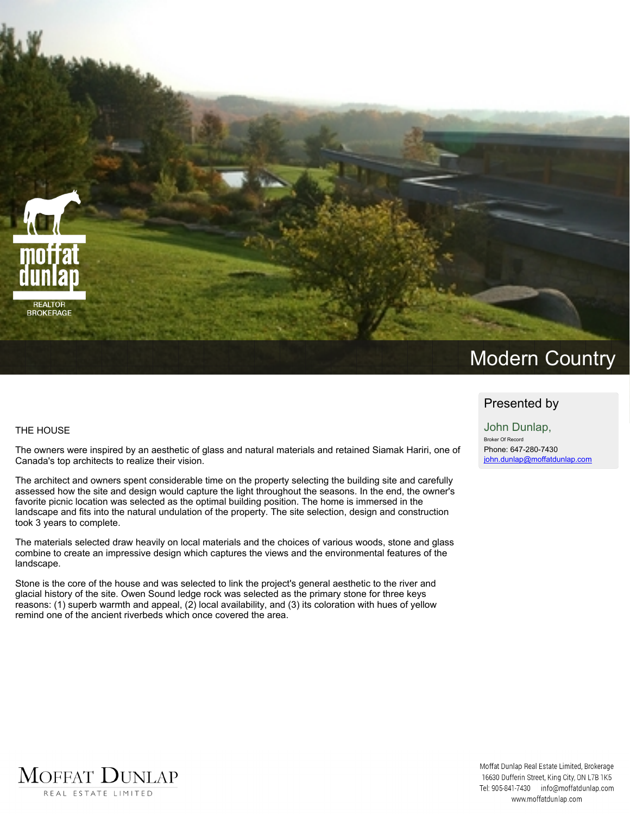

### **THE HOUSE**

The owners were inspired by an aesthetic of glass and natural materials and retained Siamak Hariri, one of **Canada's top architects to realize their vision.**

**The architect and owners spent considerable time on the property selecting the building site and carefully** assessed how the site and design would capture the light throughout the seasons. In the end, the owner's **favorite picnic location was selected as the optimal building position. The home is immersed in the landscape and fits into the natural undulation of the property. The site selection, design and construction took 3 years to complete.**

**The materials selected draw heavily on local materials and the choices of various woods, stone and glass combine to create an impressive design which captures the views and the environmental features of the landscape.**

Stone is the core of the house and was selected to link the project's general aesthetic to the river and glacial history of the site. Owen Sound ledge rock was selected as the primary stone for three keys **reasons: (1) superb warmth and appeal, (2) local availability, and (3) its coloration with hues of yellow remind one of the ancient riverbeds which once covered the area.**

# **Presented by**

**John Dunlap, Broker Of Record Phone: 647-280-7430 john.dunlap@moffatdunlap.com**

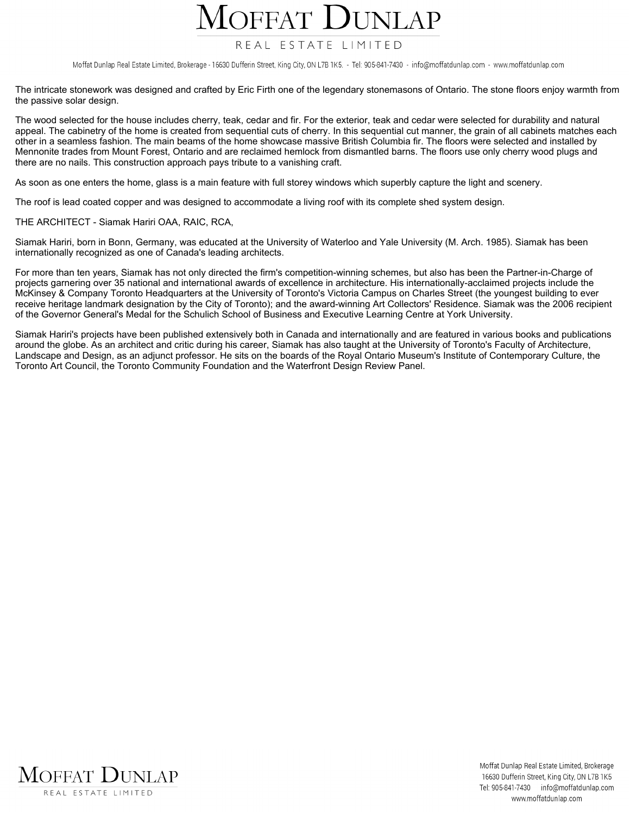# OFFAT

## REAL ESTATE LIMITED

Moffat Dunlap Real Estate Limited, Brokerage - 16630 Dufferin Street, King City, ON L7B 1K5. - Tel: 905-841-7430 - info@moffatdunlap.com - www.moffatdunlap.com

The intricate stonework was designed and crafted by Eric Firth one of the legendary stonemasons of Ontario. The stone floors enjoy warmth from **the passive solar design.**

The wood selected for the house includes cherry, teak, cedar and fir. For the exterior, teak and cedar were selected for durability and natural appeal. The cabinetry of the home is created from sequential cuts of cherry. In this sequential cut manner, the grain of all cabinets matches each other in a seamless fashion. The main beams of the home showcase massive British Columbia fir. The floors were selected and installed by Mennonite trades from Mount Forest, Ontario and are reclaimed hemlock from dismantled barns. The floors use only cherry wood plugs and **there are no nails. This construction approach pays tribute to a vanishing craft.**

As soon as one enters the home, glass is a main feature with full storey windows which superbly capture the light and scenery.

The roof is lead coated copper and was designed to accommodate a living roof with its complete shed system design.

**THE ARCHITECT - Siamak Hariri OAA, RAIC, RCA,**

Siamak Hariri, born in Bonn, Germany, was educated at the University of Waterloo and Yale University (M. Arch. 1985). Siamak has been **internationally recognized as one of Canada's leading architects.**

For more than ten years, Siamak has not only directed the firm's competition-winning schemes, but also has been the Partner-in-Charge of projects garnering over 35 national and international awards of excellence in architecture. His internationally-acclaimed projects include the McKinsey & Company Toronto Headquarters at the University of Toronto's Victoria Campus on Charles Street (the youngest building to ever receive heritage landmark designation by the City of Toronto); and the award-winning Art Collectors' Residence. Siamak was the 2006 recipient of the Governor General's Medal for the Schulich School of Business and Executive Learning Centre at York University.

Siamak Hariri's projects have been published extensively both in Canada and internationally and are featured in various books and publications around the globe. As an architect and critic during his career, Siamak has also taught at the University of Toronto's Faculty of Architecture, Landscape and Design, as an adjunct professor. He sits on the boards of the Royal Ontario Museum's Institute of Contemporary Culture, the **Toronto Art Council, the Toronto Community Foundation and the Waterfront Design Review Panel.**

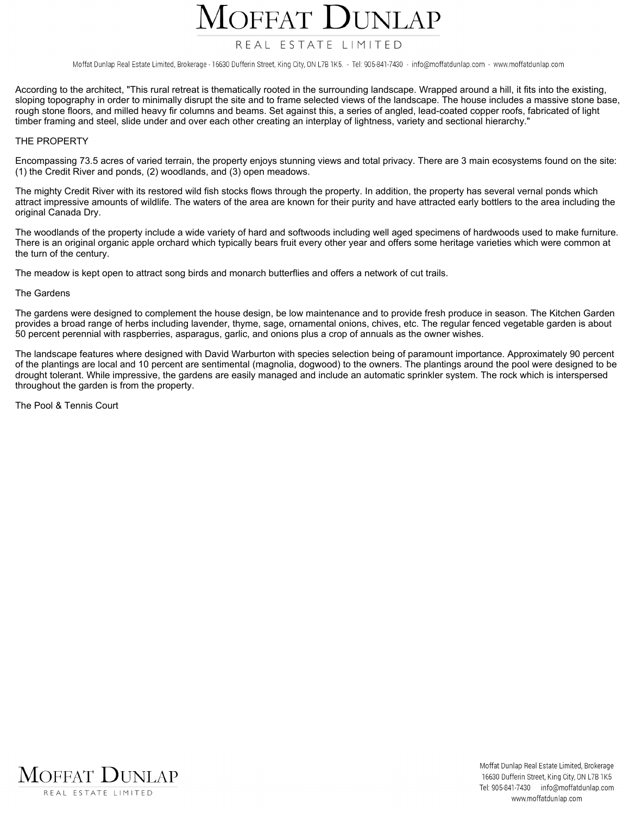# **IFFAT**

# REAL ESTATE LIMITED

Moffat Dunlap Real Estate Limited, Brokerage - 16630 Dufferin Street, King City, ON L7B 1K5. - Tel: 905-841-7430 - info@moffatdunlap.com - www.moffatdunlap.com

According to the architect, "This rural retreat is thematically rooted in the surrounding landscape. Wrapped around a hill, it fits into the existing, sloping topography in order to minimally disrupt the site and to frame selected views of the landscape. The house includes a massive stone base, rough stone floors, and milled heavy fir columns and beams. Set against this, a series of angled, lead-coated copper roofs, fabricated of light timber framing and steel, slide under and over each other creating an interplay of lightness, variety and sectional hierarchy."

#### **THE PROPERTY**

Encompassing 73.5 acres of varied terrain, the property enjoys stunning views and total privacy. There are 3 main ecosystems found on the site: **(1) the Credit River and ponds, (2) woodlands, and (3) open meadows.**

The mighty Credit River with its restored wild fish stocks flows through the property. In addition, the property has several vernal ponds which attract impressive amounts of wildlife. The waters of the area are known for their purity and have attracted early bottlers to the area including the **original Canada Dry.**

The woodlands of the property include a wide variety of hard and softwoods including well aged specimens of hardwoods used to make furniture. There is an original organic apple orchard which typically bears fruit every other year and offers some heritage varieties which were common at **the turn of the century.**

The meadow is kept open to attract song birds and monarch butterflies and offers a network of cut trails.

#### **The Gardens**

The gardens were designed to complement the house design, be low maintenance and to provide fresh produce in season. The Kitchen Garden provides a broad range of herbs including lavender, thyme, sage, ornamental onions, chives, etc. The regular fenced vegetable garden is about 50 percent perennial with raspberries, asparagus, garlic, and onions plus a crop of annuals as the owner wishes.

The landscape features where designed with David Warburton with species selection being of paramount importance. Approximately 90 percent of the plantings are local and 10 percent are sentimental (magnolia, dogwood) to the owners. The plantings around the pool were designed to be drought tolerant. While impressive, the gardens are easily managed and include an automatic sprinkler system. The rock which is interspersed **throughout the garden is from the property.**

**The Pool & Tennis Court**

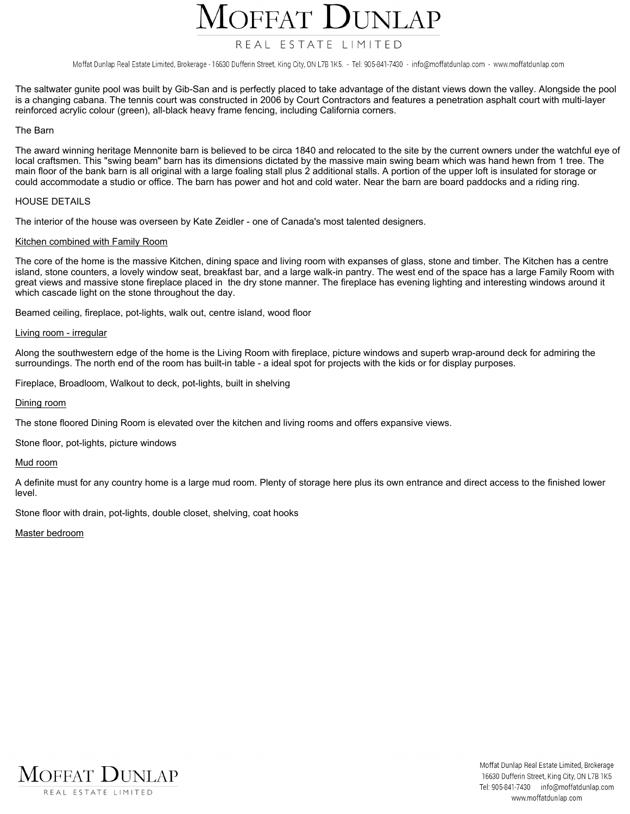

# REAL ESTATE LIMITED

Moffat Dunlap Real Estate Limited, Brokerage - 16630 Dufferin Street, King City, ON L7B 1K5. - Tel: 905-841-7430 - info@moffatdunlap.com - www.moffatdunlap.com

The saltwater gunite pool was built by Gib-San and is perfectly placed to take advantage of the distant views down the valley. Alongside the pool is a changing cabana. The tennis court was constructed in 2006 by Court Contractors and features a penetration asphalt court with multi-layer **reinforced acrylic colour (green), all-black heavy frame fencing, including California corners.**

#### **The Barn**

The award winning heritage Mennonite barn is believed to be circa 1840 and relocated to the site by the current owners under the watchful eye of local craftsmen. This "swing beam" barn has its dimensions dictated by the massive main swing beam which was hand hewn from 1 tree. The main floor of the bank barn is all original with a large foaling stall plus 2 additional stalls. A portion of the upper loft is insulated for storage or could accommodate a studio or office. The barn has power and hot and cold water. Near the barn are board paddocks and a riding ring.

#### **HOUSE DETAILS**

**The interior of the house was overseen by Kate Zeidler - one of Canada's most talented designers.**

#### **Kitchen combined with Family Room**

The core of the home is the massive Kitchen, dining space and living room with expanses of glass, stone and timber. The Kitchen has a centre island, stone counters, a lovely window seat, breakfast bar, and a large walk-in pantry. The west end of the space has a large Family Room with great views and massive stone fireplace placed in the dry stone manner. The fireplace has evening lighting and interesting windows around it **which cascade light on the stone throughout the day.**

**Beamed ceiling, fireplace, pot-lights, walk out, centre island, wood floor**

#### **Living room - irregular**

Along the southwestern edge of the home is the Living Room with fireplace, picture windows and superb wrap-around deck for admiring the surroundings. The north end of the room has built-in table - a ideal spot for projects with the kids or for display purposes.

**Fireplace, Broadloom, Walkout to deck, pot-lights, built in shelving**

**Dining room**

**The stone floored Dining Room is elevated over the kitchen and living rooms and offers expansive views.**

**Stone floor, pot-lights, picture windows**

#### **Mud room**

A definite must for any country home is a large mud room. Plenty of storage here plus its own entrance and direct access to the finished lower **level.**

**Stone floor with drain, pot-lights, double closet, shelving, coat hooks**

**Master bedroom**